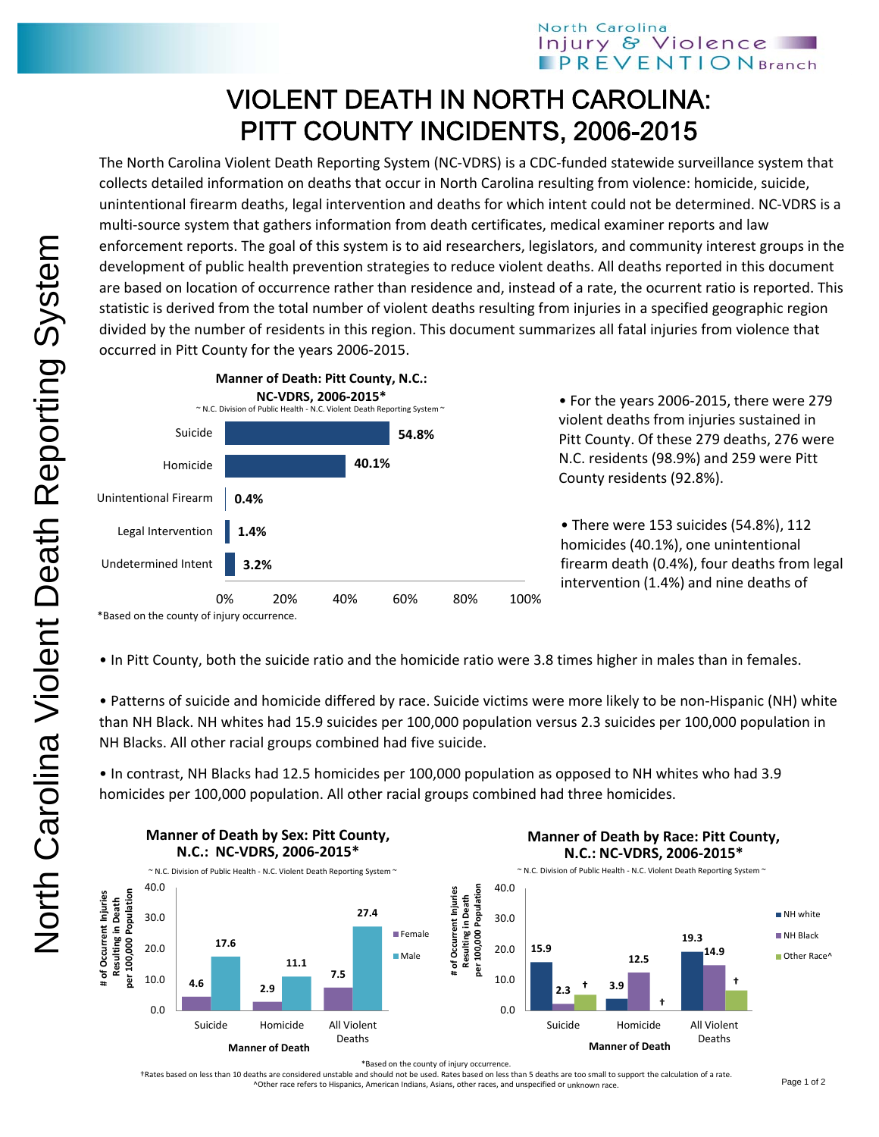## VIOLENT DEATH IN NORTH CAROLINA: PITT COUNTY INCIDENTS, 2006-2015

The North Carolina Violent Death Reporting System (NC‐VDRS) is a CDC‐funded statewide surveillance system that collects detailed information on deaths that occur in North Carolina resulting from violence: homicide, suicide, unintentional firearm deaths, legal intervention and deaths for which intent could not be determined. NC‐VDRS is a multi-source system that gathers information from death certificates, medical examiner reports and law enforcement reports. The goal of this system is to aid researchers, legislators, and community interest groups in the development of public health prevention strategies to reduce violent deaths. All deaths reported in this document are based on location of occurrence rather than residence and, instead of a rate, the ocurrent ratio is reported. This statistic is derived from the total number of violent deaths resulting from injuries in a specified geographic region divided by the number of residents in this region. This document summarizes all fatal injuries from violence that occurred in Pitt County for the years 2006‐2015.



• For the years 2006‐2015, there were 279 violent deaths from injuries sustained in Pitt County. Of these 279 deaths, 276 were N.C. residents (98.9%) and 259 were Pitt County residents (92.8%).

• There were 153 suicides (54.8%), 112 homicides (40.1%), one unintentional firearm death (0.4%), four deaths from legal intervention (1.4%) and nine deaths of

\*Based on the county of injury occurrence.

• In Pitt County, both the suicide ratio and the homicide ratio were 3.8 times higher in males than in females.

• Patterns of suicide and homicide differed by race. Suicide victims were more likely to be non‐Hispanic (NH) white than NH Black. NH whites had 15.9 suicides per 100,000 population versus 2.3 suicides per 100,000 population in NH Blacks. All other racial groups combined had five suicide.

• In contrast, NH Blacks had 12.5 homicides per 100,000 population as opposed to NH whites who had 3.9 homicides per 100,000 population. All other racial groups combined had three homicides.



\*Based on the county of injury occurrence.

†Rates based on less than 10 deaths are considered unstable and should not be used. Rates based on less than 5 deaths are too small to support the calculation of a rate. ^Other race refers to Hispanics, American Indians, Asians, other races, and unspecified or unknown race.